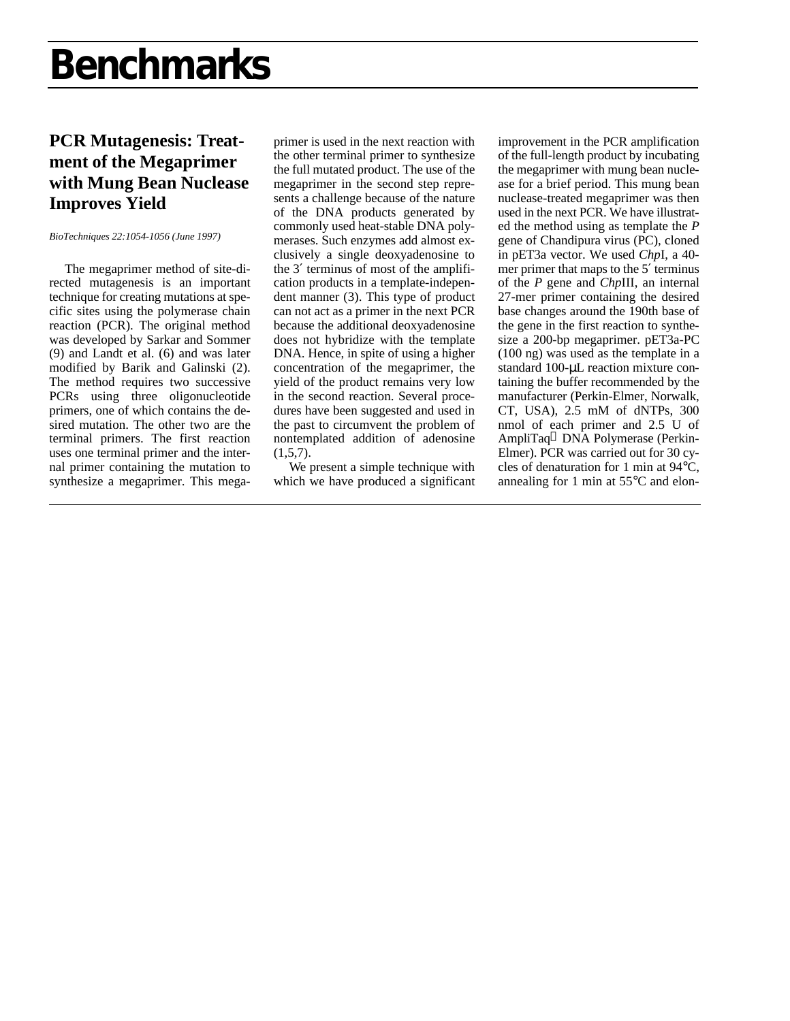## **Benchmarks**

### **PCR Mutagenesis: Treatment of the Megaprimer with Mung Bean Nuclease Improves Yield**

#### *BioTechniques 22:1054-1056 (June 1997)*

The megaprimer method of site-directed mutagenesis is an important technique for creating mutations at specific sites using the polymerase chain reaction (PCR). The original method was developed by Sarkar and Sommer (9) and Landt et al. (6) and was later modified by Barik and Galinski (2). The method requires two successive PCRs using three oligonucleotide primers, one of which contains the desired mutation. The other two are the terminal primers. The first reaction uses one terminal primer and the internal primer containing the mutation to synthesize a megaprimer. This mega-

primer is used in the next reaction with the other terminal primer to synthesize the full mutated product. The use of the megaprimer in the second step represents a challenge because of the nature of the DNA products generated by commonly used heat-stable DNA polymerases. Such enzymes add almost exclusively a single deoxyadenosine to the 3′ terminus of most of the amplification products in a template-independent manner (3). This type of product can not act as a primer in the next PCR because the additional deoxyadenosine does not hybridize with the template DNA. Hence, in spite of using a higher concentration of the megaprimer, the yield of the product remains very low in the second reaction. Several procedures have been suggested and used in the past to circumvent the problem of nontemplated addition of adenosine  $(1,5,7)$ .

We present a simple technique with which we have produced a significant improvement in the PCR amplification of the full-length product by incubating the megaprimer with mung bean nuclease for a brief period. This mung bean nuclease-treated megaprimer was then used in the next PCR. We have illustrated the method using as template the *P* gene of Chandipura virus (PC), cloned in pET3a vector. We used *Chp*I, a 40 mer primer that maps to the 5′ terminus of the *P* gene and *Chp*III, an internal 27-mer primer containing the desired base changes around the 190th base of the gene in the first reaction to synthesize a 200-bp megaprimer. pET3a-PC (100 ng) was used as the template in a standard 100-μL reaction mixture containing the buffer recommended by the manufacturer (Perkin-Elmer, Norwalk, CT, USA), 2.5 mM of dNTPs, 300 nmol of each primer and 2.5 U of AmpliTaq<sup>®</sup> DNA Polymerase (Perkin-Elmer). PCR was carried out for 30 cycles of denaturation for 1 min at 94°C, annealing for 1 min at 55°C and elon-